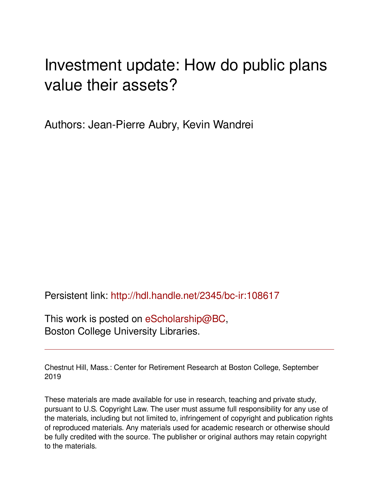## Investment update: How do public plans value their assets?

Authors: Jean-Pierre Aubry, Kevin Wandrei

Persistent link: <http://hdl.handle.net/2345/bc-ir:108617>

This work is posted on [eScholarship@BC](http://escholarship.bc.edu), Boston College University Libraries.

Chestnut Hill, Mass.: Center for Retirement Research at Boston College, September 2019

These materials are made available for use in research, teaching and private study, pursuant to U.S. Copyright Law. The user must assume full responsibility for any use of the materials, including but not limited to, infringement of copyright and publication rights of reproduced materials. Any materials used for academic research or otherwise should be fully credited with the source. The publisher or original authors may retain copyright to the materials.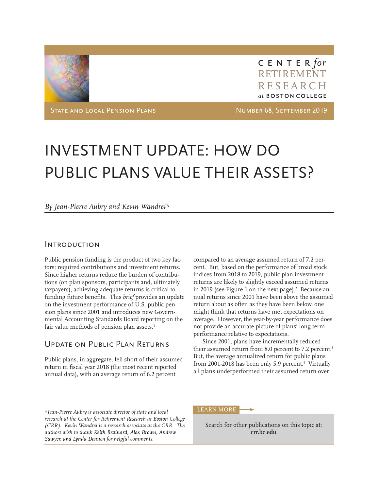

CENTER for RETIREMENT RESEARCH at BOSTON COLLEGE

STATE AND LOCAL PENSION PLANS NUMBER 68, SEPTEMBER 2019

# INVESTMENT UPDATE: HOW DO PUBLIC PLANS VALUE THEIR ASSETS?

#### *By Jean-Pierre Aubry and Kevin Wandrei\**

#### Introduction

Public pension funding is the product of two key factors: required contributions and investment returns. Since higher returns reduce the burden of contributions (on plan sponsors, participants and, ultimately, taxpayers), achieving adequate returns is critical to funding future benefits. This *brief* provides an update on the investment performance of U.S. public pension plans since 2001 and introduces new Governmental Accounting Standards Board reporting on the fair value methods of pension plan assets.<sup>1</sup>

## Update on Public Plan Returns

Public plans, in aggregate, fell short of their assumed return in fiscal year 2018 (the most recent reported annual data), with an average return of 6.2 percent

compared to an average assumed return of 7.2 percent. But, based on the performance of broad stock indices from 2018 to 2019, public plan investment returns are likely to slightly exceed assumed returns in 2019 (see Figure 1 on the next page). $2$  Because annual returns since 2001 have been above the assumed return about as often as they have been below, one might think that returns have met expectations on average. However, the year-by-year performance does not provide an accurate picture of plans' long-term performance relative to expectations.

Since 2001, plans have incrementally reduced their assumed return from 8.0 percent to 7.2 percent.<sup>3</sup> But, the average annualized return for public plans from 2001-2018 has been only 5.9 percent.<sup>4</sup> Virtually all plans underperformed their assumed return over

*\*Jean-Pierre Aubry is associate director of state and local research at the Center for Retirement Research at Boston College (CRR). Kevin Wandrei is a research associate at the CRR. The authors wish to thank Keith Brainard, Alex Brown, Andrew Sawyer, and Lynda Dennen for helpful comments.*

#### LEARN MORE

Search for other publications on this topic at: **crr.bc.edu**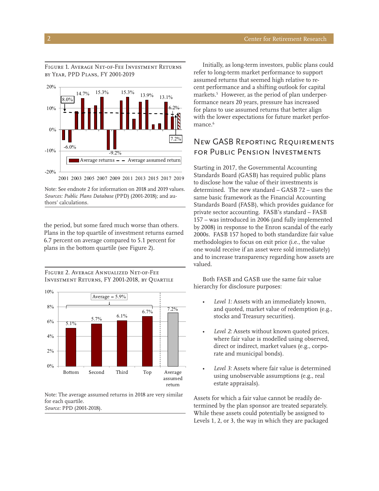Figure 1. Average Net-of-Fee Investment Returns by Year, PPD Plans, FY 2001-2019



Note: See endnote 2 for information on 2018 and 2019 values. *Sources: Public Plans Database* (PPD) (2001-2018); and authors' calculations.

the period, but some fared much worse than others. Plans in the top quartile of investment returns earned 6.7 percent on average compared to 5.1 percent for plans in the bottom quartile (see Figure 2).

Figure 2. Average Annualized Net-of-Fee Investment Returns, FY 2001-2018, by Quartile



Note: The average assumed returns in 2018 are very similar for each quartile. *Source:* PPD (2001-2018).

Initially, as long-term investors, public plans could refer to long-term market performance to support assumed returns that seemed high relative to recent performance and a shifting outlook for capital markets.5 However, as the period of plan underperformance nears 20 years, pressure has increased for plans to use assumed returns that better align with the lower expectations for future market performance.<sup>6</sup>

## New GASB Reporting Requirements for Public Pension Investments

Starting in 2017, the Governmental Accounting Standards Board (GASB) has required public plans to disclose how the value of their investments is determined. The new standard – GASB 72 – uses the same basic framework as the Financial Accounting Standards Board (FASB), which provides guidance for private sector accounting. FASB's standard – FASB 157 – was introduced in 2006 (and fully implemented by 2008) in response to the Enron scandal of the early 2000s. FASB 157 hoped to both standardize fair value methodologies to focus on exit price (i.e., the value one would receive if an asset were sold immediately) and to increase transparency regarding how assets are valued.

Both FASB and GASB use the same fair value hierarchy for disclosure purposes:

- Level 1: Assets with an immediately known, and quoted, market value of redemption (e.g., stocks and Treasury securities).
- Level 2: Assets without known quoted prices, where fair value is modelled using observed, direct or indirect, market values (e.g., corporate and municipal bonds).
- *• Level 3:* Assets where fair value is determined using unobservable assumptions (e.g., real estate appraisals).

Assets for which a fair value cannot be readily determined by the plan sponsor are treated separately. While these assets could potentially be assigned to Levels 1, 2, or 3, the way in which they are packaged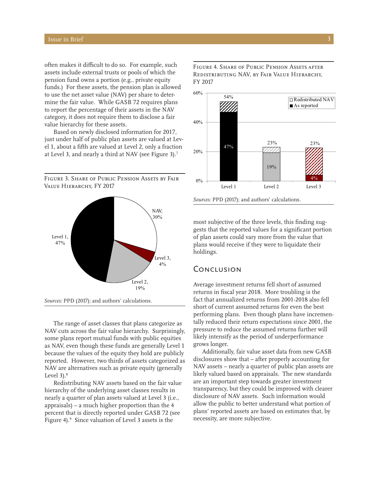often makes it difficult to do so. For example, such assets include external trusts or pools of which the pension fund owns a portion (e.g., private equity funds.) For these assets, the pension plan is allowed to use the net asset value (NAV) per share to determine the fair value. While GASB 72 requires plans to report the percentage of their assets in the NAV category, it does not require them to disclose a fair value hierarchy for these assets.

Based on newly disclosed information for 2017, just under half of public plan assets are valued at Level 1, about a fifth are valued at Level 2, only a fraction at Level 3, and nearly a third at NAV (see Figure 3).7

Figure 3. Share of Public Pension Assets by Fair VALUE HIERARCHY, FY 2017





The range of asset classes that plans categorize as NAV cuts across the fair value hierarchy. Surprisingly, some plans report mutual funds with public equities as NAV, even though these funds are generally Level 1 because the values of the equity they hold are publicly reported. However, two thirds of assets categorized as NAV are alternatives such as private equity (generally Level  $3$ ). $8$ 

Redistributing NAV assets based on the fair value hierarchy of the underlying asset classes results in nearly a quarter of plan assets valued at Level 3 (i.e., appraisals) – a much higher proportion than the 4 percent that is directly reported under GASB 72 (see Figure 4).9 Since valuation of Level 3 assets is the

Figure 4. Share of Public Pension Assets after Redistributing NAV, by Fair Value Hierarchy, FY 2017



most subjective of the three levels, this finding suggests that the reported values for a significant portion of plan assets could vary more from the value that plans would receive if they were to liquidate their holdings.

#### **CONCLUSION**

Average investment returns fell short of assumed returns in fiscal year 2018. More troubling is the fact that annualized returns from 2001-2018 also fell short of current assumed returns for even the best performing plans. Even though plans have incrementally reduced their return expectations since 2001, the pressure to reduce the assumed returns further will likely intensify as the period of underperformance grows longer.

Additionally, fair value asset data from new GASB disclosures show that – after properly accounting for NAV assets – nearly a quarter of public plan assets are likely valued based on appraisals. The new standards are an important step towards greater investment transparency, but they could be improved with clearer disclosure of NAV assets. Such information would allow the public to better understand what portion of plans' reported assets are based on estimates that, by necessity, are more subjective.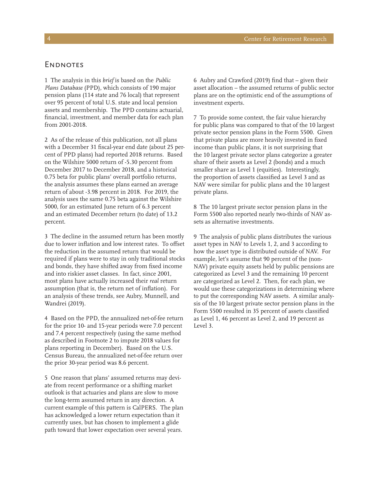#### **ENDNOTES**

1 The analysis in this *brief* is based on the *Public Plans Database* (PPD), which consists of 190 major pension plans (114 state and 76 local) that represent over 95 percent of total U.S. state and local pension assets and membership. The PPD contains actuarial, financial, investment, and member data for each plan from 2001-2018.

2 As of the release of this publication, not all plans with a December 31 fiscal-year end date (about 25 percent of PPD plans) had reported 2018 returns. Based on the Wilshire 5000 return of -5.30 percent from December 2017 to December 2018, and a historical 0.75 beta for public plans' overall portfolio returns, the analysis assumes these plans earned an average return of about -3.98 percent in 2018. For 2019, the analysis uses the same 0.75 beta against the Wilshire 5000, for an estimated June return of 6.3 percent and an estimated December return (to date) of 13.2 percent.

3 The decline in the assumed return has been mostly due to lower inflation and low interest rates. To offset the reduction in the assumed return that would be required if plans were to stay in only traditional stocks and bonds, they have shifted away from fixed income and into riskier asset classes. In fact, since 2001, most plans have actually increased their *real* return assumption (that is, the return net of inflation). For an analysis of these trends, see Aubry, Munnell, and Wandrei (2019).

4 Based on the PPD, the annualized net-of-fee return for the prior 10- and 15-year periods were 7.0 percent and 7.4 percent respectively (using the same method as described in Footnote 2 to impute 2018 values for plans reporting in December). Based on the U.S. Census Bureau, the annualized net-of-fee return over the prior 30-year period was 8.6 percent.

5 One reason that plans' assumed returns may deviate from recent performance or a shifting market outlook is that actuaries and plans are slow to move the long-term assumed return in any direction. A current example of this pattern is CalPERS. The plan has acknowledged a lower return expectation than it currently uses, but has chosen to implement a glide path toward that lower expectation over several years.

6 Aubry and Crawford (2019) find that – given their asset allocation – the assumed returns of public sector plans are on the optimistic end of the assumptions of investment experts.

7 To provide some context, the fair value hierarchy for public plans was compared to that of the 10 largest private sector pension plans in the Form 5500. Given that private plans are more heavily invested in fixed income than public plans, it is not surprising that the 10 largest private sector plans categorize a greater share of their assets as Level 2 (bonds) and a much smaller share as Level 1 (equities). Interestingly, the proportion of assets classified as Level 3 and as NAV were similar for public plans and the 10 largest private plans.

8 The 10 largest private sector pension plans in the Form 5500 also reported nearly two-thirds of NAV assets as alternative investments.

9 The analysis of public plans distributes the various asset types in NAV to Levels 1, 2, and 3 according to how the asset type is distributed outside of NAV. For example, let's assume that 90 percent of the (non-NAV) private equity assets held by public pensions are categorized as Level 3 and the remaining 10 percent are categorized as Level 2. Then, for each plan, we would use these categorizations in determining where to put the corresponding NAV assets. A similar analysis of the 10 largest private sector pension plans in the Form 5500 resulted in 35 percent of assets classified as Level 1, 46 percent as Level 2, and 19 percent as Level 3.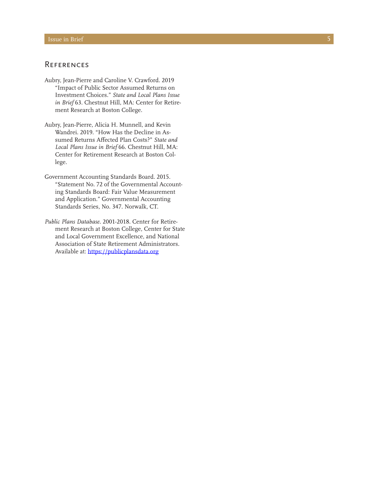#### **REFERENCES**

- Aubry, Jean-Pierre and Caroline V. Crawford. 2019 "Impact of Public Sector Assumed Returns on Investment Choices." *State and Local Plans Issue in Brief* 63. Chestnut Hill, MA: Center for Retire ment Research at Boston College.
- Aubry, Jean-Pierre, Alicia H. Munnell, and Kevin Wandrei. 2019. "How Has the Decline in As sumed Returns Affected Plan Costs?" *State and Local Plans Issue in Brief* 66. Chestnut Hill, MA: Center for Retirement Research at Boston Col lege.
- Government Accounting Standards Board. 2015. "Statement No. 72 of the Governmental Account ing Standards Board: Fair Value Measurement and Application." Governmental Accounting Standards Series, No. 347. Norwalk, CT.
- *Public Plans Database.* 2001-2018. Center for Retire ment Research at Boston College, Center for State and Local Government Excellence, and National Association of State Retirement Administrators. Available at: <https://publicplansdata.org>